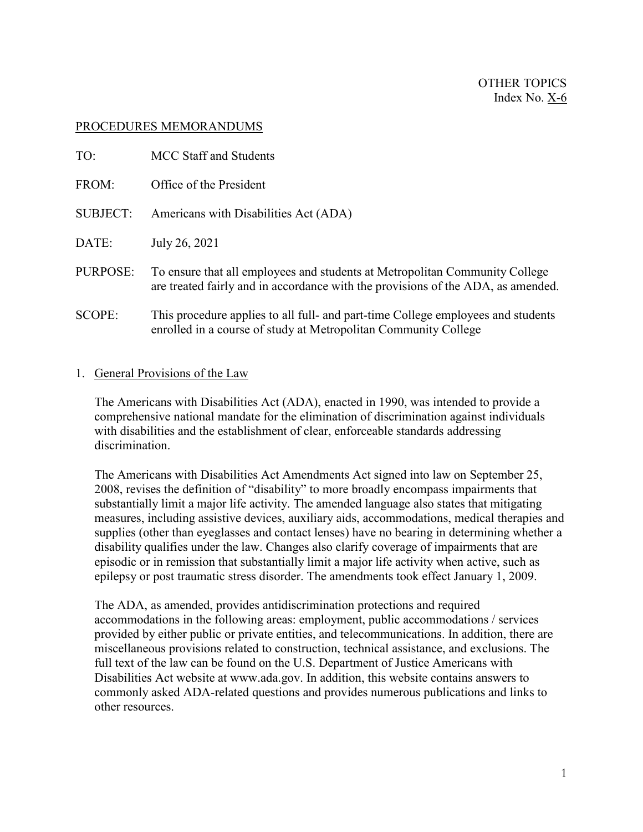#### PROCEDURES MEMORANDUMS

| TO:             | MCC Staff and Students                                                                                                                                          |
|-----------------|-----------------------------------------------------------------------------------------------------------------------------------------------------------------|
| FROM:           | Office of the President                                                                                                                                         |
| <b>SUBJECT:</b> | Americans with Disabilities Act (ADA)                                                                                                                           |
| DATE:           | July 26, 2021                                                                                                                                                   |
| PURPOSE:        | To ensure that all employees and students at Metropolitan Community College<br>are treated fairly and in accordance with the provisions of the ADA, as amended. |
| <b>SCOPE:</b>   | This procedure applies to all full- and part-time College employees and students<br>enrolled in a course of study at Metropolitan Community College             |

#### 1. General Provisions of the Law

The Americans with Disabilities Act (ADA), enacted in 1990, was intended to provide a comprehensive national mandate for the elimination of discrimination against individuals with disabilities and the establishment of clear, enforceable standards addressing discrimination.

The Americans with Disabilities Act Amendments Act signed into law on September 25, 2008, revises the definition of "disability" to more broadly encompass impairments that substantially limit a major life activity. The amended language also states that mitigating measures, including assistive devices, auxiliary aids, accommodations, medical therapies and supplies (other than eyeglasses and contact lenses) have no bearing in determining whether a disability qualifies under the law. Changes also clarify coverage of impairments that are episodic or in remission that substantially limit a major life activity when active, such as epilepsy or post traumatic stress disorder. The amendments took effect January 1, 2009.

The ADA, as amended, provides antidiscrimination protections and required accommodations in the following areas: employment, public accommodations / services provided by either public or private entities, and telecommunications. In addition, there are miscellaneous provisions related to construction, technical assistance, and exclusions. The full text of the law can be found on the U.S. Department of Justice Americans with Disabilities Act website at www.ada.gov. In addition, this website contains answers to commonly asked ADA-related questions and provides numerous publications and links to other resources.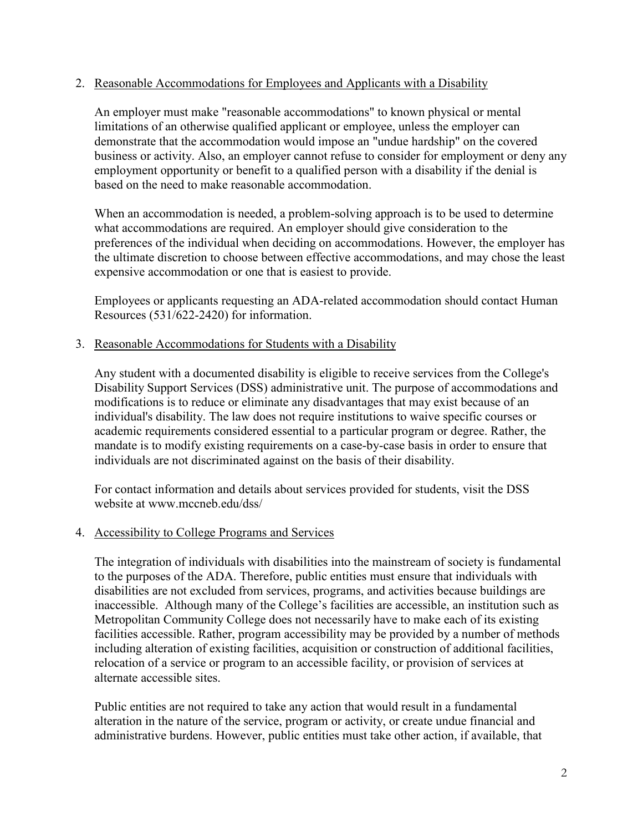# 2. Reasonable Accommodations for Employees and Applicants with a Disability

An employer must make "reasonable accommodations" to known physical or mental limitations of an otherwise qualified applicant or employee, unless the employer can demonstrate that the accommodation would impose an "undue hardship" on the covered business or activity. Also, an employer cannot refuse to consider for employment or deny any employment opportunity or benefit to a qualified person with a disability if the denial is based on the need to make reasonable accommodation.

When an accommodation is needed, a problem-solving approach is to be used to determine what accommodations are required. An employer should give consideration to the preferences of the individual when deciding on accommodations. However, the employer has the ultimate discretion to choose between effective accommodations, and may chose the least expensive accommodation or one that is easiest to provide.

Employees or applicants requesting an ADA-related accommodation should contact Human Resources (531/622-2420) for information.

### 3. Reasonable Accommodations for Students with a Disability

Any student with a documented disability is eligible to receive services from the College's Disability Support Services (DSS) administrative unit. The purpose of accommodations and modifications is to reduce or eliminate any disadvantages that may exist because of an individual's disability. The law does not require institutions to waive specific courses or academic requirements considered essential to a particular program or degree. Rather, the mandate is to modify existing requirements on a case-by-case basis in order to ensure that individuals are not discriminated against on the basis of their disability.

For contact information and details about services provided for students, visit the DSS website at www.mccneb.edu/dss/

### 4. Accessibility to College Programs and Services

The integration of individuals with disabilities into the mainstream of society is fundamental to the purposes of the ADA. Therefore, public entities must ensure that individuals with disabilities are not excluded from services, programs, and activities because buildings are inaccessible. Although many of the College's facilities are accessible, an institution such as Metropolitan Community College does not necessarily have to make each of its existing facilities accessible. Rather, program accessibility may be provided by a number of methods including alteration of existing facilities, acquisition or construction of additional facilities, relocation of a service or program to an accessible facility, or provision of services at alternate accessible sites.

Public entities are not required to take any action that would result in a fundamental alteration in the nature of the service, program or activity, or create undue financial and administrative burdens. However, public entities must take other action, if available, that